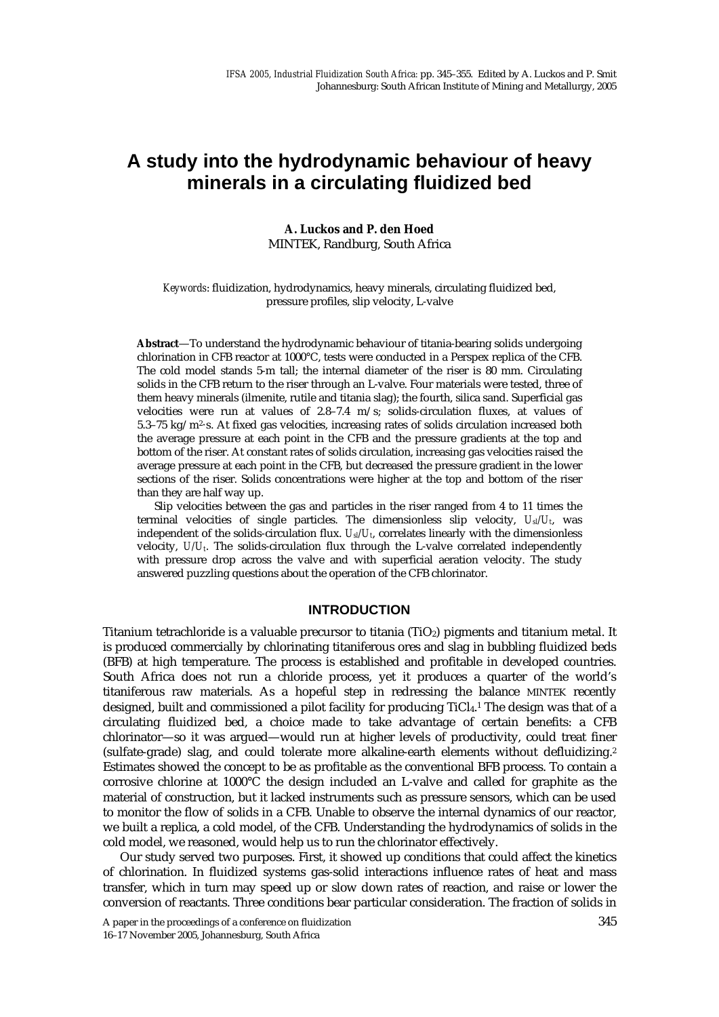# **A study into the hydrodynamic behaviour of heavy minerals in a circulating fluidized bed**

## **A. Luckos and P. den Hoed**  MINTEK, Randburg, South Africa

#### *Keywords*: fluidization, hydrodynamics, heavy minerals, circulating fluidized bed, pressure profiles, slip velocity, L-valve

**Abstract**—To understand the hydrodynamic behaviour of titania-bearing solids undergoing chlorination in CFB reactor at 1000°C, tests were conducted in a Perspex replica of the CFB. The cold model stands 5-m tall; the internal diameter of the riser is 80 mm. Circulating solids in the CFB return to the riser through an L-valve. Four materials were tested, three of them heavy minerals (ilmenite, rutile and titania slag); the fourth, silica sand. Superficial gas velocities were run at values of 2.8–7.4 m/s; solids-circulation fluxes, at values of 5.3–75 kg/m2·s. At fixed gas velocities, increasing rates of solids circulation increased both the average pressure at each point in the CFB and the pressure gradients at the top and bottom of the riser. At constant rates of solids circulation, increasing gas velocities raised the average pressure at each point in the CFB, but decreased the pressure gradient in the lower sections of the riser. Solids concentrations were higher at the top and bottom of the riser than they are half way up.

Slip velocities between the gas and particles in the riser ranged from 4 to 11 times the terminal velocities of single particles. The dimensionless slip velocity,  $U_{s}/U_{t}$ , was independent of the solids-circulation flux.  $U_{s}/U_{t}$ , correlates linearly with the dimensionless velocity, *U/Ut*. The solids-circulation flux through the L-valve correlated independently with pressure drop across the valve and with superficial aeration velocity. The study answered puzzling questions about the operation of the CFB chlorinator.

## **INTRODUCTION**

Titanium tetrachloride is a valuable precursor to titania  $(TiO<sub>2</sub>)$  pigments and titanium metal. It is produced commercially by chlorinating titaniferous ores and slag in bubbling fluidized beds (BFB) at high temperature. The process is established and profitable in developed countries. South Africa does not run a chloride process, yet it produces a quarter of the world's titaniferous raw materials. As a hopeful step in redressing the balance MINTEK recently designed, built and commissioned a pilot facility for producing TiCl<sub>4</sub>.<sup>1</sup> The design was that of a circulating fluidized bed, a choice made to take advantage of certain benefits: a CFB chlorinator—so it was argued—would run at higher levels of productivity, could treat finer (sulfate-grade) slag, and could tolerate more alkaline-earth elements without defluidizing.2 Estimates showed the concept to be as profitable as the conventional BFB process. To contain a corrosive chlorine at 1000°C the design included an L-valve and called for graphite as the material of construction, but it lacked instruments such as pressure sensors, which can be used to monitor the flow of solids in a CFB. Unable to observe the internal dynamics of our reactor, we built a replica, a cold model, of the CFB. Understanding the hydrodynamics of solids in the cold model, we reasoned, would help us to run the chlorinator effectively.

Our study served two purposes. First, it showed up conditions that could affect the kinetics of chlorination. In fluidized systems gas-solid interactions influence rates of heat and mass transfer, which in turn may speed up or slow down rates of reaction, and raise or lower the conversion of reactants. Three conditions bear particular consideration. The fraction of solids in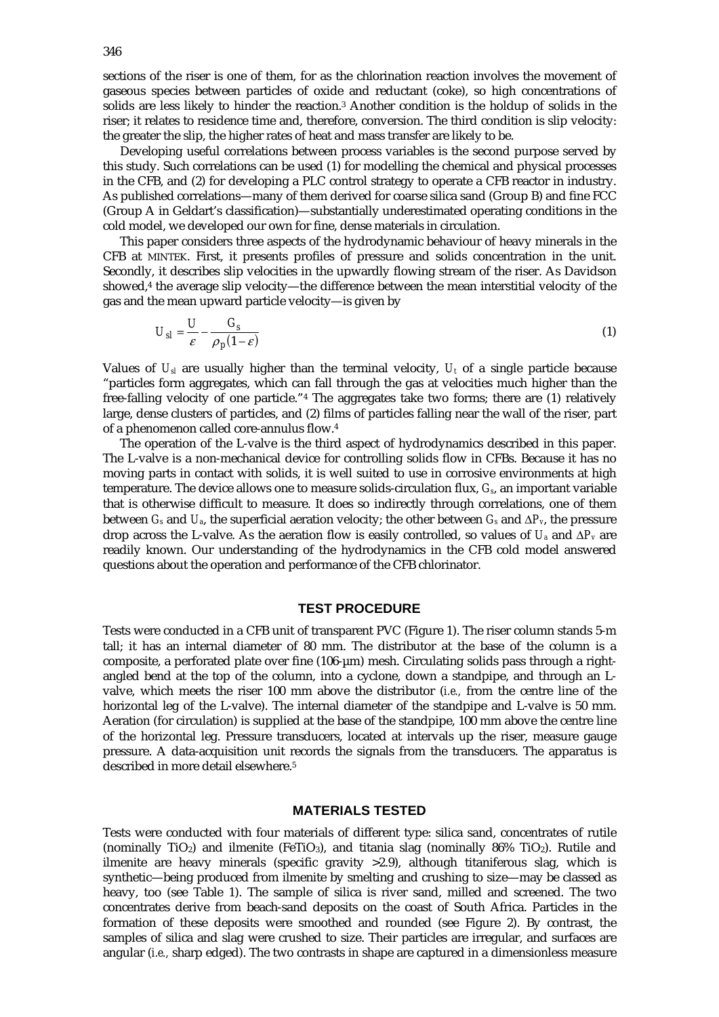sections of the riser is one of them, for as the chlorination reaction involves the movement of gaseous species between particles of oxide and reductant (coke), so high concentrations of solids are less likely to hinder the reaction.3 Another condition is the holdup of solids in the riser; it relates to residence time and, therefore, conversion. The third condition is slip velocity: the greater the slip, the higher rates of heat and mass transfer are likely to be.

Developing useful correlations between process variables is the second purpose served by this study. Such correlations can be used (1) for modelling the chemical and physical processes in the CFB, and (2) for developing a PLC control strategy to operate a CFB reactor in industry. As published correlations—many of them derived for coarse silica sand (Group B) and fine FCC (Group A in Geldart's classification)—substantially underestimated operating conditions in the cold model, we developed our own for fine, dense materials in circulation.

This paper considers three aspects of the hydrodynamic behaviour of heavy minerals in the CFB at MINTEK. First, it presents profiles of pressure and solids concentration in the unit. Secondly, it describes slip velocities in the upwardly flowing stream of the riser. As Davidson showed,4 the average slip velocity—the difference between the mean interstitial velocity of the gas and the mean upward particle velocity—is given by

$$
U_{sl} = \frac{U}{\varepsilon} - \frac{G_s}{\rho_p (1 - \varepsilon)}
$$
 (1)

Values of  $U_{sl}$  are usually higher than the terminal velocity,  $U_t$  of a single particle because "particles form aggregates, which can fall through the gas at velocities much higher than the free-falling velocity of one particle."4 The aggregates take two forms; there are (1) relatively large, dense clusters of particles, and (2) films of particles falling near the wall of the riser, part of a phenomenon called core-annulus flow.4

The operation of the L-valve is the third aspect of hydrodynamics described in this paper. The L-valve is a non-mechanical device for controlling solids flow in CFBs. Because it has no moving parts in contact with solids, it is well suited to use in corrosive environments at high temperature. The device allows one to measure solids-circulation flux, *Gs*, an important variable that is otherwise difficult to measure. It does so indirectly through correlations, one of them between  $G_s$  and  $U_a$ , the superficial aeration velocity; the other between  $G_s$  and  $\Delta P_v$ , the pressure drop across the L-valve. As the aeration flow is easily controlled, so values of  $U_a$  and  $\Delta P_v$  are readily known. Our understanding of the hydrodynamics in the CFB cold model answered questions about the operation and performance of the CFB chlorinator.

## **TEST PROCEDURE**

Tests were conducted in a CFB unit of transparent PVC (Figure 1). The riser column stands 5-m tall; it has an internal diameter of 80 mm. The distributor at the base of the column is a composite, a perforated plate over fine (106-µm) mesh. Circulating solids pass through a rightangled bend at the top of the column, into a cyclone, down a standpipe, and through an Lvalve, which meets the riser 100 mm above the distributor (*i.e.,* from the centre line of the horizontal leg of the L-valve). The internal diameter of the standpipe and L-valve is 50 mm. Aeration (for circulation) is supplied at the base of the standpipe, 100 mm above the centre line of the horizontal leg. Pressure transducers, located at intervals up the riser, measure gauge pressure. A data-acquisition unit records the signals from the transducers. The apparatus is described in more detail elsewhere.5

#### **MATERIALS TESTED**

Tests were conducted with four materials of different type: silica sand, concentrates of rutile (nominally  $TiO<sub>2</sub>$ ) and ilmenite (FeTiO<sub>3</sub>), and titania slag (nominally  $86\%$  TiO<sub>2</sub>). Rutile and ilmenite are heavy minerals (specific gravity  $>2.9$ ), although titaniferous slag, which is synthetic—being produced from ilmenite by smelting and crushing to size—may be classed as heavy, too (see Table 1). The sample of silica is river sand, milled and screened. The two concentrates derive from beach-sand deposits on the coast of South Africa. Particles in the formation of these deposits were smoothed and rounded (see Figure 2). By contrast, the samples of silica and slag were crushed to size. Their particles are irregular, and surfaces are angular (*i.e.,* sharp edged). The two contrasts in shape are captured in a dimensionless measure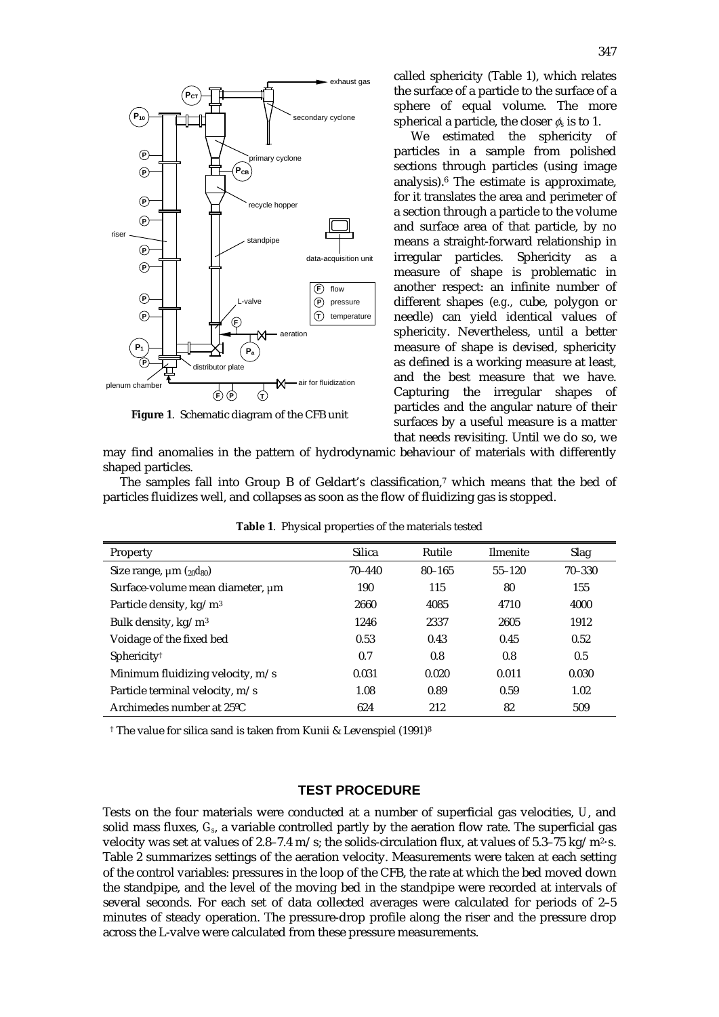

**Figure 1**. Schematic diagram of the CFB unit

called sphericity (Table 1), which relates the surface of a particle to the surface of a sphere of equal volume. The more spherical a particle, the closer  $\phi_s$  is to 1.

We estimated the sphericity of particles in a sample from polished sections through particles (using image analysis).6 The estimate is approximate, for it translates the area and perimeter of a section through a particle to the volume and surface area of that particle, by no means a straight-forward relationship in irregular particles. Sphericity as a measure of shape is problematic in another respect: an infinite number of different shapes (*e.g.,* cube, polygon or needle) can yield identical values of sphericity. Nevertheless, until a better measure of shape is devised, sphericity as defined is a working measure at least, and the best measure that we have. Capturing the irregular shapes of particles and the angular nature of their surfaces by a useful measure is a matter that needs revisiting. Until we do so, we

may find anomalies in the pattern of hydrodynamic behaviour of materials with differently shaped particles.

The samples fall into Group B of Geldart's classification,7 which means that the bed of particles fluidizes well, and collapses as soon as the flow of fluidizing gas is stopped.

| Property                              | <b>Silica</b> | Rutile     | <b>Ilmenite</b> | Slag       |
|---------------------------------------|---------------|------------|-----------------|------------|
| Size range, $\mu$ m ( $_{20}d_{80}$ ) | $70 - 440$    | $80 - 165$ | $55 - 120$      | $70 - 330$ |
| Surface-volume mean diameter, µm      | 190           | 115        | 80              | 155        |
| Particle density, kg/m <sup>3</sup>   | 2660          | 4085       | 4710            | 4000       |
| Bulk density, kg/m <sup>3</sup>       | 1246          | 2337       | 2605            | 1912       |
| Voidage of the fixed bed              | 0.53          | 0.43       | 0.45            | 0.52       |
| Sphericity <sup>†</sup>               | 0.7           | 0.8        | 0.8             | 0.5        |
| Minimum fluidizing velocity, $m/s$    | 0.031         | 0.020      | 0.011           | 0.030      |
| Particle terminal velocity, m/s       | 1.08          | 0.89       | 0.59            | 1.02       |
| Archimedes number at 25 °C            | 624           | 212        | 82              | 509        |

**Table 1**. Physical properties of the materials tested

† The value for silica sand is taken from Kunii & Levenspiel (1991)8

## **TEST PROCEDURE**

Tests on the four materials were conducted at a number of superficial gas velocities, *U*, and solid mass fluxes, *Gs*, a variable controlled partly by the aeration flow rate. The superficial gas velocity was set at values of 2.8–7.4 m/s; the solids-circulation flux, at values of  $5.3-75 \text{ kg/m}^2$ ·s. Table 2 summarizes settings of the aeration velocity. Measurements were taken at each setting of the control variables: pressures in the loop of the CFB, the rate at which the bed moved down the standpipe, and the level of the moving bed in the standpipe were recorded at intervals of several seconds. For each set of data collected averages were calculated for periods of 2–5 minutes of steady operation. The pressure-drop profile along the riser and the pressure drop across the L-valve were calculated from these pressure measurements.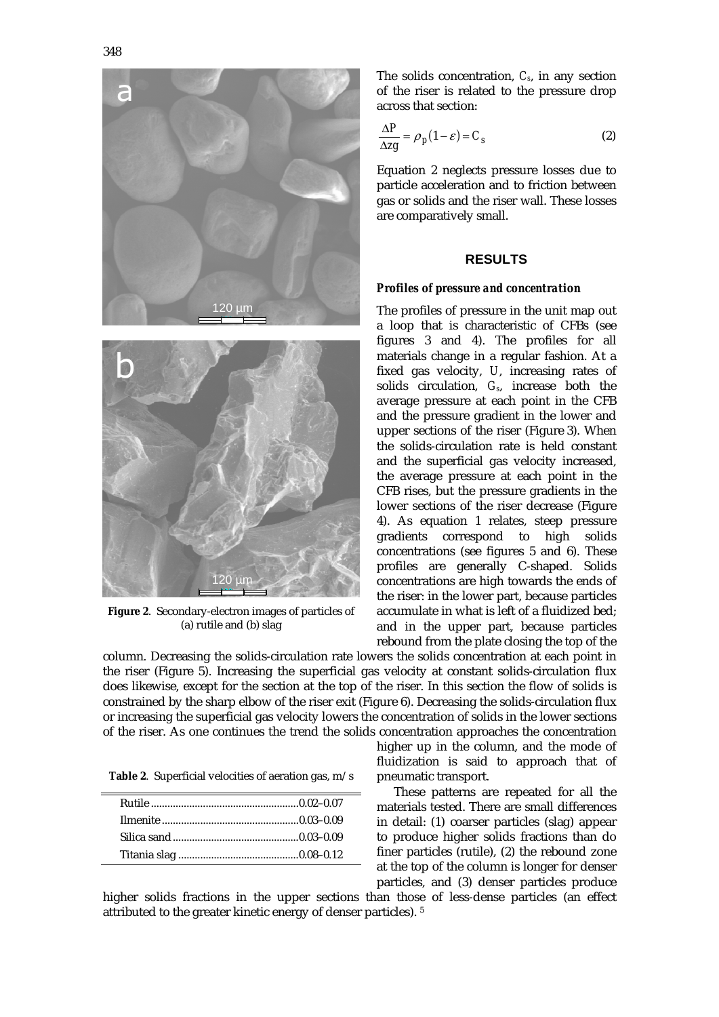



**Figure 2**. Secondary-electron images of particles of (a) rutile and (b) slag

The solids concentration, *Cs*, in any section of the riser is related to the pressure drop across that section:

$$
\frac{\Delta P}{\Delta z g} = \rho_p (1 - \varepsilon) = C_s \tag{2}
$$

Equation 2 neglects pressure losses due to particle acceleration and to friction between gas or solids and the riser wall. These losses are comparatively small.

#### **RESULTS**

#### *Profiles of pressure and concentration*

The profiles of pressure in the unit map out a loop that is characteristic of CFBs (see figures 3 and 4). The profiles for all materials change in a regular fashion. At a fixed gas velocity, *U*, increasing rates of solids circulation, *Gs*, increase both the average pressure at each point in the CFB and the pressure gradient in the lower and upper sections of the riser (Figure 3). When the solids-circulation rate is held constant and the superficial gas velocity increased, the average pressure at each point in the CFB rises, but the pressure gradients in the lower sections of the riser decrease (Figure 4). As equation 1 relates, steep pressure gradients correspond to high solids concentrations (see figures 5 and 6). These profiles are generally C-shaped. Solids concentrations are high towards the ends of the riser: in the lower part, because particles accumulate in what is left of a fluidized bed; and in the upper part, because particles rebound from the plate closing the top of the

column. Decreasing the solids-circulation rate lowers the solids concentration at each point in the riser (Figure 5). Increasing the superficial gas velocity at constant solids-circulation flux does likewise, except for the section at the top of the riser. In this section the flow of solids is constrained by the sharp elbow of the riser exit (Figure 6). Decreasing the solids-circulation flux or increasing the superficial gas velocity lowers the concentration of solids in the lower sections of the riser. As one continues the trend the solids concentration approaches the concentration

**Table 2**. Superficial velocities of aeration gas, m/s

higher up in the column, and the mode of fluidization is said to approach that of pneumatic transport.

These patterns are repeated for all the materials tested. There are small differences in detail: (1) coarser particles (slag) appear to produce higher solids fractions than do finer particles (rutile), (2) the rebound zone at the top of the column is longer for denser particles, and (3) denser particles produce

higher solids fractions in the upper sections than those of less-dense particles (an effect attributed to the greater kinetic energy of denser particles). 5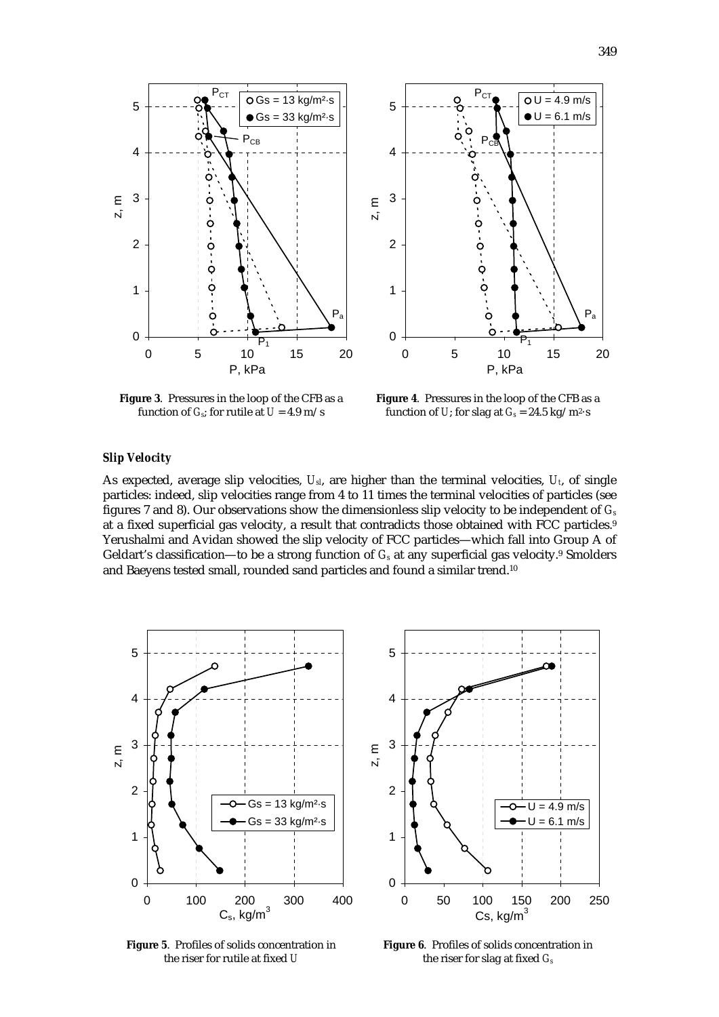Pa

 $\overline{OU} = 4.9$  m/s  $U = 6.1$  m/s



**Figure 3**. Pressures in the loop of the CFB as a function of  $G_s$ ; for rutile at  $U = 4.9$  m/s

**Figure 4**. Pressures in the loop of the CFB as a function of *U*; for slag at  $G_s = 24.5 \text{ kg/m}^2 \cdot \text{s}$ 

 $P_{C7}$ 

P

 $\circ$ 

Ċ

ò

P, kPa

 $P_1$ 

#### *Slip Velocity*

As expected, average slip velocities, *Usl*, are higher than the terminal velocities, *Ut*, of single particles: indeed, slip velocities range from 4 to 11 times the terminal velocities of particles (see figures 7 and 8). Our observations show the dimensionless slip velocity to be independent of *Gs* at a fixed superficial gas velocity, a result that contradicts those obtained with FCC particles.9 Yerushalmi and Avidan showed the slip velocity of FCC particles—which fall into Group A of Geldart's classification—to be a strong function of  $G_s$  at any superficial gas velocity.<sup>9</sup> Smolders and Baeyens tested small, rounded sand particles and found a similar trend.10



**Figure 5**. Profiles of solids concentration in the riser for rutile at fixed *U*

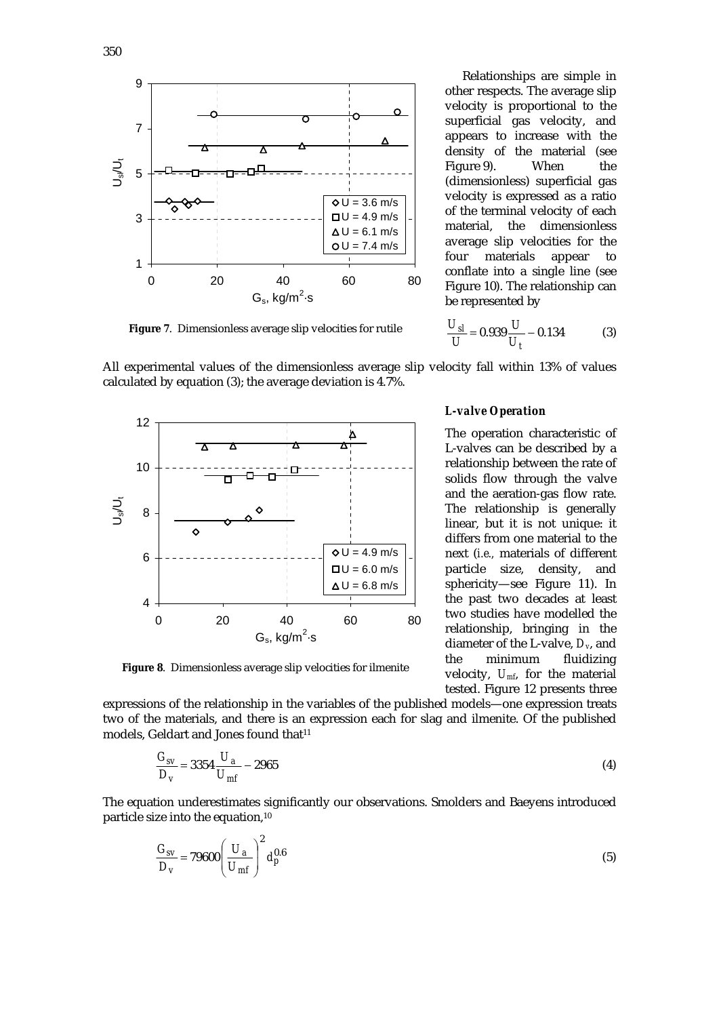

Relationships are simple in other respects. The average slip velocity is proportional to the superficial gas velocity, and appears to increase with the density of the material (see Figure 9). When the (dimensionless) superficial gas velocity is expressed as a ratio of the terminal velocity of each material, the dimensionless average slip velocities for the four materials appear to conflate into a single line (see Figure 10). The relationship can be represented by

**Figure 7**. Dimensionless average slip velocities for rutile

 $= 0.939 \frac{6}{11} - 0.134$ *t sl U U*  $\frac{U_{sl}}{U}$  = 0.939  $\frac{U}{U_t}$  – 0.134 (3)

All experimental values of the dimensionless average slip velocity fall within 13% of values calculated by equation (3); the average deviation is 4.7%.



**Figure 8**. Dimensionless average slip velocities for ilmenite

expressions of the relationship in the variables of the published models—one expression treats two of the materials, and there is an expression each for slag and ilmenite. Of the published models, Geldart and Jones found that<sup>11</sup>

$$
\frac{G_{sv}}{D_v} = 3354 \frac{U_a}{U_{mf}} - 2965\tag{4}
$$

The equation underestimates significantly our observations. Smolders and Baeyens introduced particle size into the equation,10

$$
\frac{G_{SV}}{D_V} = 79600 \left(\frac{U_a}{U_{mf}}\right)^2 d_p^{0.6}
$$
\n(5)

*L-valve Operation* 

The operation characteristic of L-valves can be described by a relationship between the rate of solids flow through the valve and the aeration-gas flow rate. The relationship is generally linear, but it is not unique: it differs from one material to the next (*i.e.,* materials of different particle size, density, and sphericity—see Figure 11). In the past two decades at least two studies have modelled the relationship, bringing in the diameter of the L-valve, *Dv*, and the minimum fluidizing velocity, *Umf*, for the material tested. Figure 12 presents three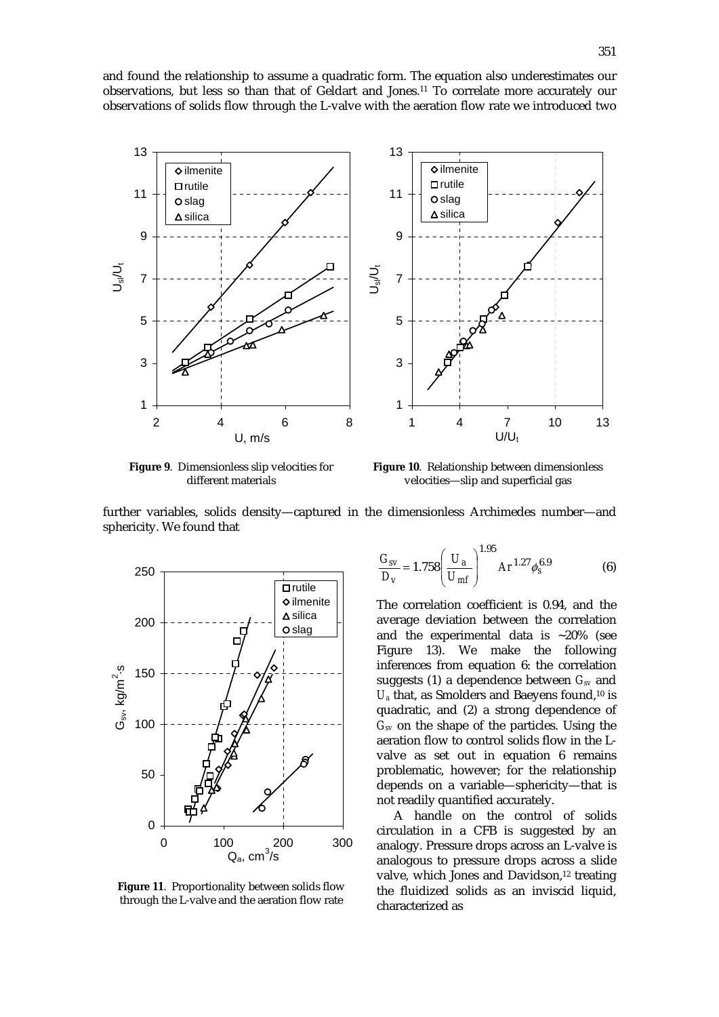and found the relationship to assume a quadratic form. The equation also underestimates our observations, but less so than that of Geldart and Jones.11 To correlate more accurately our observations of solids flow through the L-valve with the aeration flow rate we introduced two



**Figure 9**. Dimensionless slip velocities for different materials

**Figure 10**. Relationship between dimensionless velocities—slip and superficial gas

further variables, solids density—captured in the dimensionless Archimedes number—and sphericity. We found that



**Figure 11**. Proportionality between solids flow through the L-valve and the aeration flow rate

$$
\frac{G_{SV}}{D_V} = 1.758 \left(\frac{U_a}{U_{mf}}\right)^{1.95} Ar^{1.27} \phi_s^{6.9}
$$
 (6)

The correlation coefficient is 0.94, and the average deviation between the correlation and the experimental data is  $~20\%$  (see Figure 13). We make the following inferences from equation 6: the correlation suggests (1) a dependence between *Gsv* and  $U_a$  that, as Smolders and Baeyens found,<sup>10</sup> is quadratic, and (2) a strong dependence of *Gsv* on the shape of the particles. Using the aeration flow to control solids flow in the Lvalve as set out in equation 6 remains problematic, however; for the relationship depends on a variable—sphericity—that is not readily quantified accurately.

A handle on the control of solids circulation in a CFB is suggested by an analogy. Pressure drops across an L-valve is analogous to pressure drops across a slide valve, which Jones and Davidson,<sup>12</sup> treating the fluidized solids as an inviscid liquid, characterized as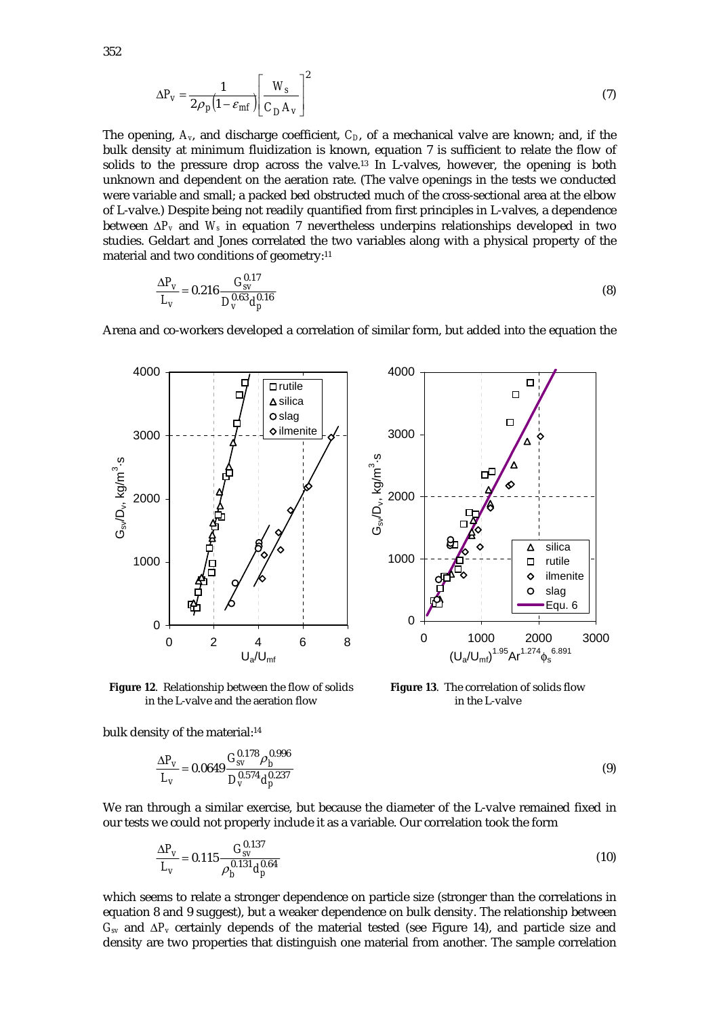$$
\Delta P_{\rm v} = \frac{1}{2\rho_p \left(1 - \varepsilon_{\rm mf}\right)} \left[\frac{W_s}{C_D A_{\rm v}}\right]^2 \tag{7}
$$

The opening,  $A_v$ , and discharge coefficient,  $C_D$ , of a mechanical valve are known; and, if the bulk density at minimum fluidization is known, equation 7 is sufficient to relate the flow of solids to the pressure drop across the valve.13 In L-valves, however, the opening is both unknown and dependent on the aeration rate. (The valve openings in the tests we conducted were variable and small; a packed bed obstructed much of the cross-sectional area at the elbow of L-valve.) Despite being not readily quantified from first principles in L-valves, a dependence between ∆*Pv* and *Ws* in equation 7 nevertheless underpins relationships developed in two studies. Geldart and Jones correlated the two variables along with a physical property of the material and two conditions of geometry:11

$$
\frac{\Delta P_V}{L_V} = 0.216 \frac{G_{SV}^{0.17}}{D_V^{0.63} d_p^{0.16}}
$$
\n(8)

Arena and co-workers developed a correlation of similar form, but added into the equation the



**Figure 12**. Relationship between the flow of solids in the L-valve and the aeration flow

bulk density of the material:<sup>14</sup>

$$
\frac{\Delta P_V}{L_V} = 0.0649 \frac{G_{SV}^{0.178} \rho_b^{0.996}}{D_V^{0.574} d_p^{0.237}}
$$
\n(9)

in the L-valve

We ran through a similar exercise, but because the diameter of the L-valve remained fixed in our tests we could not properly include it as a variable. Our correlation took the form

$$
\frac{\Delta P_V}{L_V} = 0.115 \frac{G_{SV}^{0.137}}{\rho_b^{0.131} d_p^{0.64}}
$$
\n(10)

which seems to relate a stronger dependence on particle size (stronger than the correlations in equation 8 and 9 suggest), but a weaker dependence on bulk density. The relationship between *Gsv* and ∆*Pv* certainly depends of the material tested (see Figure 14), and particle size and density are two properties that distinguish one material from another. The sample correlation

352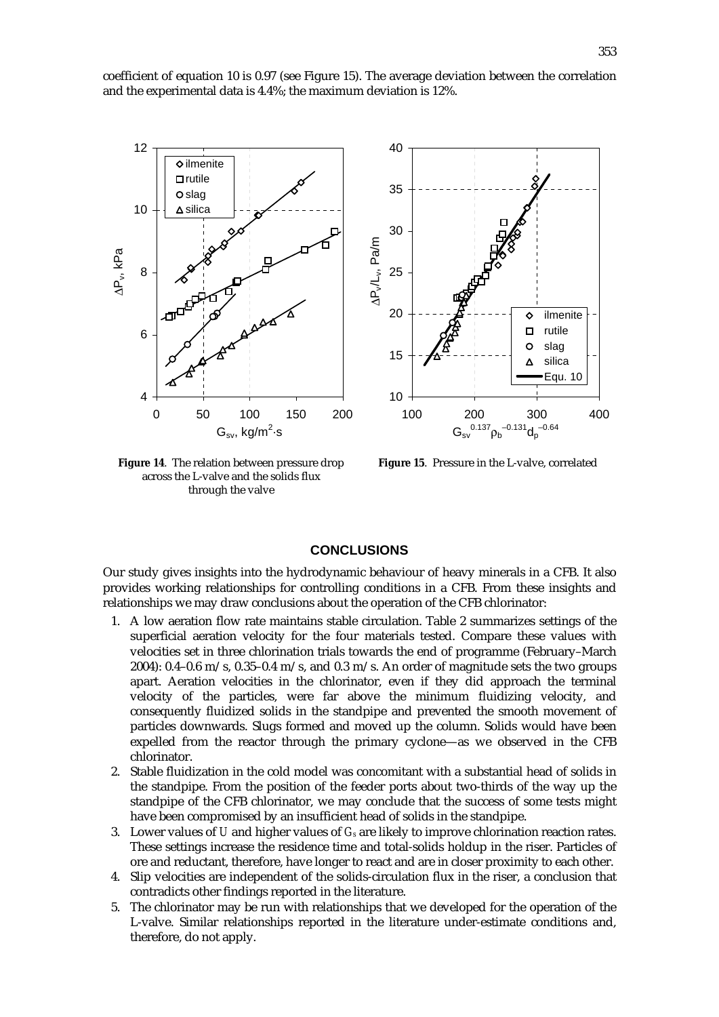coefficient of equation 10 is 0.97 (see Figure 15). The average deviation between the correlation and the experimental data is 4.4%; the maximum deviation is 12%.



**Figure 14**. The relation between pressure drop across the L-valve and the solids flux through the valve



**Figure 15**. Pressure in the L-valve, correlated

## **CONCLUSIONS**

Our study gives insights into the hydrodynamic behaviour of heavy minerals in a CFB. It also provides working relationships for controlling conditions in a CFB. From these insights and relationships we may draw conclusions about the operation of the CFB chlorinator:

- 1. A low aeration flow rate maintains stable circulation. Table 2 summarizes settings of the superficial aeration velocity for the four materials tested. Compare these values with velocities set in three chlorination trials towards the end of programme (February–March 2004): 0.4–0.6 m/s, 0.35–0.4 m/s, and 0.3 m/s. An order of magnitude sets the two groups apart. Aeration velocities in the chlorinator, even if they did approach the terminal velocity of the particles, were far above the minimum fluidizing velocity, and consequently fluidized solids in the standpipe and prevented the smooth movement of particles downwards. Slugs formed and moved up the column. Solids would have been expelled from the reactor through the primary cyclone—as we observed in the CFB chlorinator.
- 2. Stable fluidization in the cold model was concomitant with a substantial head of solids in the standpipe. From the position of the feeder ports about two-thirds of the way up the standpipe of the CFB chlorinator, we may conclude that the success of some tests might have been compromised by an insufficient head of solids in the standpipe.
- 3. Lower values of *U* and higher values of *Gs* are likely to improve chlorination reaction rates. These settings increase the residence time and total-solids holdup in the riser. Particles of ore and reductant, therefore, have longer to react and are in closer proximity to each other.
- 4. Slip velocities are independent of the solids-circulation flux in the riser, a conclusion that contradicts other findings reported in the literature.
- 5. The chlorinator may be run with relationships that we developed for the operation of the L-valve. Similar relationships reported in the literature under-estimate conditions and, therefore, do not apply.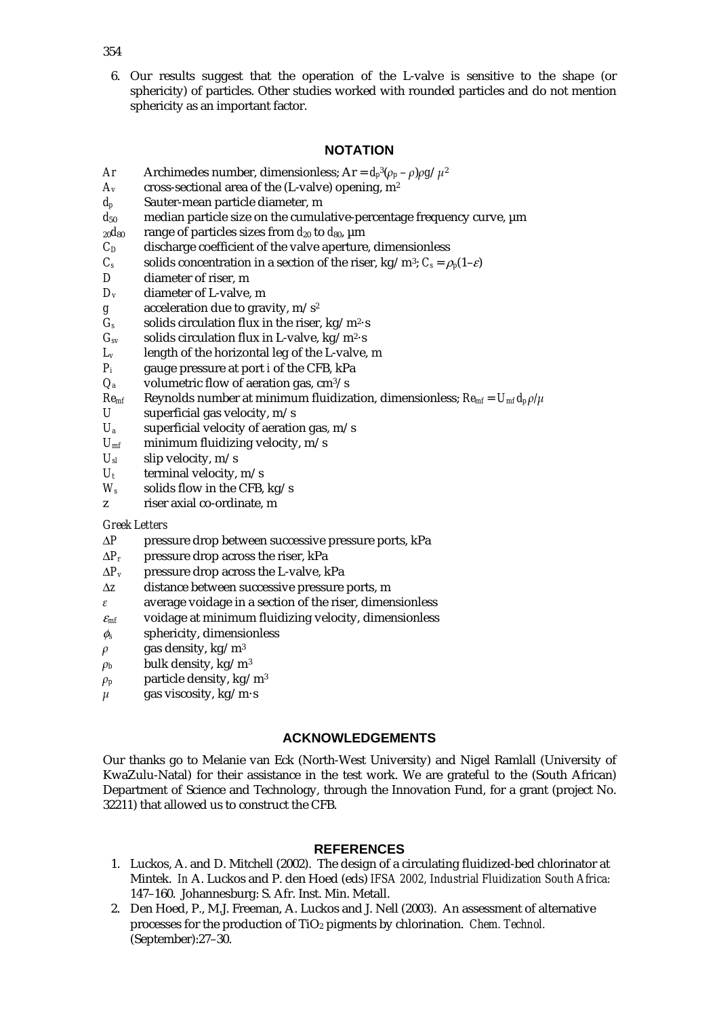6. Our results suggest that the operation of the L-valve is sensitive to the shape (or sphericity) of particles. Other studies worked with rounded particles and do not mention sphericity as an important factor.

## **NOTATION**

- *Ar* Archimedes number, dimensionless; Ar =  $d_p^3(\rho_p \rho)\rho g/\mu^2$
- $A_v$  cross-sectional area of the (L-valve) opening,  $m^2$
- *dp* Sauter-mean particle diameter, m
- $d_{50}$  median particle size on the cumulative-percentage frequency curve,  $\mu$ m
- $_{20}d_{80}$  range of particles sizes from  $d_{20}$  to  $d_{80}$ ,  $\mu$ m
- $C_D$  discharge coefficient of the valve aperture, dimensionless
- *C<sub>s</sub>* solids concentration in a section of the riser, kg/m<sup>3</sup>;  $C_s = \rho_p(1-\epsilon)$
- *D* diameter of riser, m
- *Dv* diameter of L-valve, m
- *g* acceleration due to gravity, m/s2
- $G_s$  solids circulation flux in the riser, kg/m<sup>2</sup>·s
- $G<sub>sv</sub>$  solids circulation flux in L-valve, kg/m<sup>2</sup>·s
- *Lv* length of the horizontal leg of the L-valve, m
- *Pi* gauge pressure at port *i* of the CFB, kPa
- $Q_a$  volumetric flow of aeration gas, cm<sup>3</sup>/s<br> $Re_{mf}$  Reynolds number at minimum fluidiza
- *Reynolds number at minimum fluidization, dimensionless;*  $Re_{mf} = U_{mf} d_p \rho / \mu$
- *U* superficial gas velocity, m/s
- *Ua* superficial velocity of aeration gas, m/s
- $U_{\text{mf}}$  minimum fluidizing velocity, m/s
- $U_{sl}$  slip velocity, m/s
- $U_t$  terminal velocity, m/s
- $W_s$  solids flow in the CFB, kg/s
- z riser axial co-ordinate, m

## *Greek Letters*

- ∆*P* pressure drop between successive pressure ports, kPa
- ∆*Pr* pressure drop across the riser, kPa
- ∆*Pv* pressure drop across the L-valve, kPa
- ∆*z* distance between successive pressure ports, m
- $\varepsilon$  average voidage in a section of the riser, dimensionless
- <sup>ε</sup>*mf* voidage at minimum fluidizing velocity, dimensionless
- φ*s* sphericity, dimensionless
- $\rho$  gas density, kg/m<sup>3</sup>
- $\rho_b$  bulk density, kg/m<sup>3</sup>
- $\rho_p$  particle density, kg/m<sup>3</sup>
- $\mu$  gas viscosity, kg/m·s

# **ACKNOWLEDGEMENTS**

Our thanks go to Melanie van Eck (North-West University) and Nigel Ramlall (University of KwaZulu-Natal) for their assistance in the test work. We are grateful to the (South African) Department of Science and Technology, through the Innovation Fund, for a grant (project No. 32211) that allowed us to construct the CFB.

# **REFERENCES**

- 1. Luckos, A. and D. Mitchell (2002). The design of a circulating fluidized-bed chlorinator at Mintek. *In* A. Luckos and P. den Hoed (eds) *IFSA 2002, Industrial Fluidization South Africa:* 147–160. Johannesburg: S. Afr. Inst. Min. Metall.
- 2. Den Hoed, P., M.J. Freeman, A. Luckos and J. Nell (2003). An assessment of alternative processes for the production of TiO2 pigments by chlorination. *Chem. Technol.* (September):27–30.

354